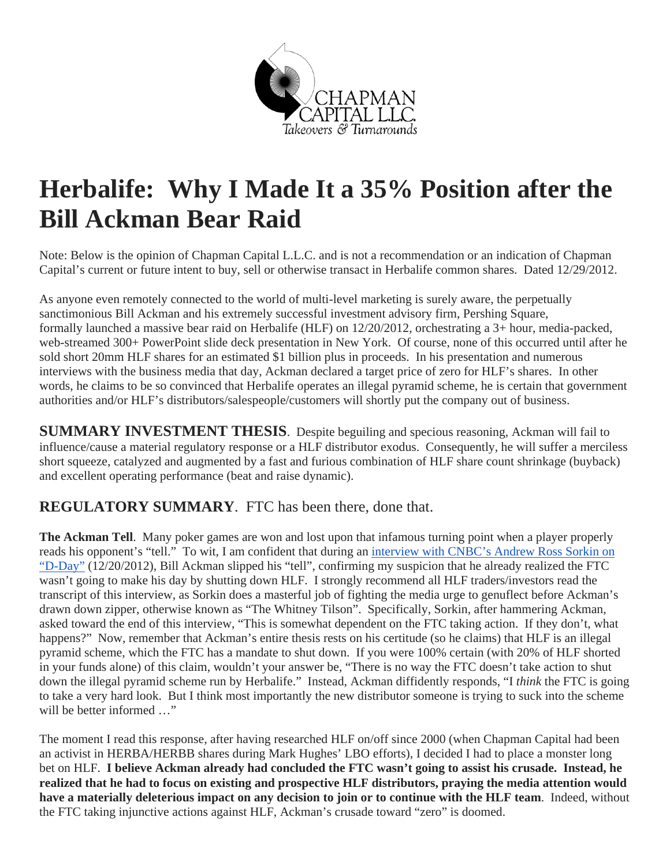

# **Herbalife: Why I Made It a 35% Position after the Bill Ackman Bear Raid**

Note: Below is the opinion of Chapman Capital L.L.C. and is not a recommendation or an indication of Chapman Capital's current or future intent to buy, sell or otherwise transact in Herbalife common shares. Dated 12/29/2012.

As anyone even remotely connected to the world of multi-level marketing is surely aware, the perpetually sanctimonious Bill Ackman and his extremely successful investment advisory firm, Pershing Square, formally launched a massive bear raid on Herbalife (HLF) on 12/20/2012, orchestrating a 3+ hour, media-packed, web-streamed 300+ PowerPoint slide deck presentation in New York. Of course, none of this occurred until after he sold short 20mm HLF shares for an estimated \$1 billion plus in proceeds. In his presentation and numerous interviews with the business media that day, Ackman declared a target price of zero for HLF's shares. In other words, he claims to be so convinced that Herbalife operates an illegal pyramid scheme, he is certain that government authorities and/or HLF's distributors/salespeople/customers will shortly put the company out of business.

**SUMMARY INVESTMENT THESIS**. Despite beguiling and specious reasoning, Ackman will fail to influence/cause a material regulatory response or a HLF distributor exodus. Consequently, he will suffer a merciless short squeeze, catalyzed and augmented by a fast and furious combination of HLF share count shrinkage (buyback) and excellent operating performance (beat and raise dynamic).

#### **REGULATORY SUMMARY**. FTC has been there, done that.

**The Ackman Tell**. Many poker games are won and lost upon that infamous turning point when a player properly reads his opponent's "tell." To wit, I am confident that during an interview with CNBC's Andrew Ross Sorkin on "D-Day" (12/20/2012), Bill Ackman slipped his "tell", confirming my suspicion that he already realized the FTC wasn't going to make his day by shutting down HLF. I strongly recommend all HLF traders/investors read the transcript of this interview, as Sorkin does a masterful job of fighting the media urge to genuflect before Ackman's drawn down zipper, otherwise known as "The Whitney Tilson". Specifically, Sorkin, after hammering Ackman, asked toward the end of this interview, "This is somewhat dependent on the FTC taking action. If they don't, what happens?" Now, remember that Ackman's entire thesis rests on his certitude (so he claims) that HLF is an illegal pyramid scheme, which the FTC has a mandate to shut down. If you were 100% certain (with 20% of HLF shorted in your funds alone) of this claim, wouldn't your answer be, "There is no way the FTC doesn't take action to shut down the illegal pyramid scheme run by Herbalife." Instead, Ackman diffidently responds, "I *think* the FTC is going to take a very hard look. But I think most importantly the new distributor someone is trying to suck into the scheme will be better informed ..."

The moment I read this response, after having researched HLF on/off since 2000 (when Chapman Capital had been an activist in HERBA/HERBB shares during Mark Hughes' LBO efforts), I decided I had to place a monster long bet on HLF. **I believe Ackman already had concluded the FTC wasn't going to assist his crusade. Instead, he realized that he had to focus on existing and prospective HLF distributors, praying the media attention would have a materially deleterious impact on any decision to join or to continue with the HLF team**. Indeed, without the FTC taking injunctive actions against HLF, Ackman's crusade toward "zero" is doomed.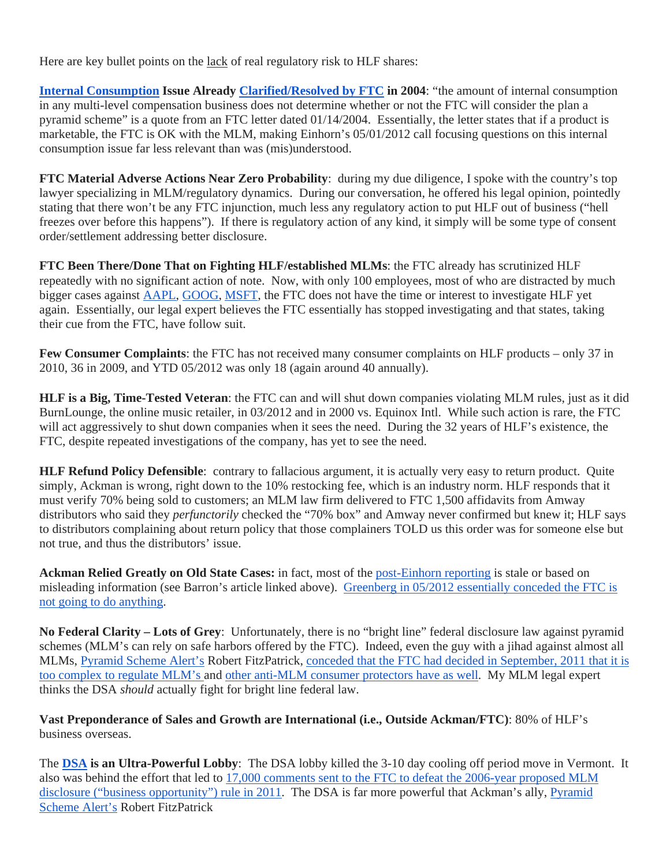Here are key bullet points on the lack of real regulatory risk to HLF shares:

**Internal Consumption Issue Already Clarified/Resolved by FTC in 2004**: "the amount of internal consumption in any multi-level compensation business does not determine whether or not the FTC will consider the plan a pyramid scheme" is a quote from an FTC letter dated 01/14/2004. Essentially, the letter states that if a product is marketable, the FTC is OK with the MLM, making Einhorn's 05/01/2012 call focusing questions on this internal consumption issue far less relevant than was (mis)understood.

**FTC Material Adverse Actions Near Zero Probability**: during my due diligence, I spoke with the country's top lawyer specializing in MLM/regulatory dynamics. During our conversation, he offered his legal opinion, pointedly stating that there won't be any FTC injunction, much less any regulatory action to put HLF out of business ("hell freezes over before this happens"). If there is regulatory action of any kind, it simply will be some type of consent order/settlement addressing better disclosure.

**FTC Been There/Done That on Fighting HLF/established MLMs**: the FTC already has scrutinized HLF repeatedly with no significant action of note. Now, with only 100 employees, most of who are distracted by much bigger cases against AAPL, GOOG, MSFT, the FTC does not have the time or interest to investigate HLF yet again. Essentially, our legal expert believes the FTC essentially has stopped investigating and that states, taking their cue from the FTC, have follow suit.

**Few Consumer Complaints**: the FTC has not received many consumer complaints on HLF products – only 37 in 2010, 36 in 2009, and YTD 05/2012 was only 18 (again around 40 annually).

**HLF is a Big, Time-Tested Veteran**: the FTC can and will shut down companies violating MLM rules, just as it did BurnLounge, the online music retailer, in 03/2012 and in 2000 vs. Equinox Intl. While such action is rare, the FTC will act aggressively to shut down companies when it sees the need. During the 32 years of HLF's existence, the FTC, despite repeated investigations of the company, has yet to see the need.

**HLF Refund Policy Defensible**: contrary to fallacious argument, it is actually very easy to return product. Quite simply, Ackman is wrong, right down to the 10% restocking fee, which is an industry norm. HLF responds that it must verify 70% being sold to customers; an MLM law firm delivered to FTC 1,500 affidavits from Amway distributors who said they *perfunctorily* checked the "70% box" and Amway never confirmed but knew it; HLF says to distributors complaining about return policy that those complainers TOLD us this order was for someone else but not true, and thus the distributors' issue.

**Ackman Relied Greatly on Old State Cases:** in fact, most of the post-Einhorn reporting is stale or based on misleading information (see Barron's article linked above). Greenberg in 05/2012 essentially conceded the FTC is not going to do anything.

**No Federal Clarity – Lots of Grey**: Unfortunately, there is no "bright line" federal disclosure law against pyramid schemes (MLM's can rely on safe harbors offered by the FTC). Indeed, even the guy with a jihad against almost all MLMs, Pyramid Scheme Alert's Robert FitzPatrick, conceded that the FTC had decided in September, 2011 that it is too complex to regulate MLM's and other anti-MLM consumer protectors have as well. My MLM legal expert thinks the DSA *should* actually fight for bright line federal law.

**Vast Preponderance of Sales and Growth are International (i.e., Outside Ackman/FTC)**: 80% of HLF's business overseas.

The **DSA is an Ultra-Powerful Lobby**: The DSA lobby killed the 3-10 day cooling off period move in Vermont. It also was behind the effort that led to 17,000 comments sent to the FTC to defeat the 2006-year proposed MLM disclosure ("business opportunity") rule in 2011. The DSA is far more powerful that Ackman's ally, Pyramid Scheme Alert's Robert FitzPatrick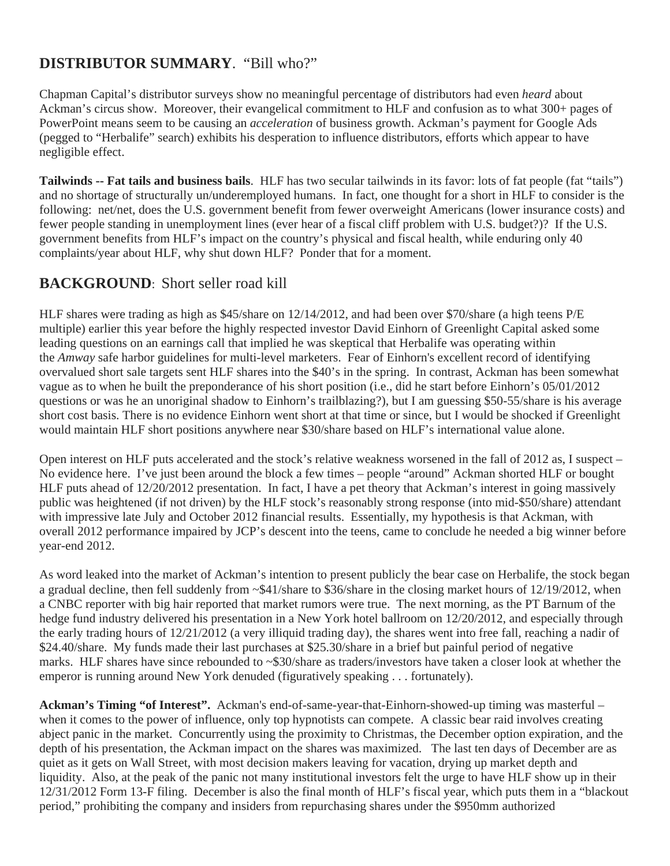### **DISTRIBUTOR SUMMARY**. "Bill who?"

Chapman Capital's distributor surveys show no meaningful percentage of distributors had even *heard* about Ackman's circus show. Moreover, their evangelical commitment to HLF and confusion as to what 300+ pages of PowerPoint means seem to be causing an *acceleration* of business growth. Ackman's payment for Google Ads (pegged to "Herbalife" search) exhibits his desperation to influence distributors, efforts which appear to have negligible effect.

**Tailwinds -- Fat tails and business bails**. HLF has two secular tailwinds in its favor: lots of fat people (fat "tails") and no shortage of structurally un/underemployed humans. In fact, one thought for a short in HLF to consider is the following: net/net, does the U.S. government benefit from fewer overweight Americans (lower insurance costs) and fewer people standing in unemployment lines (ever hear of a fiscal cliff problem with U.S. budget?)? If the U.S. government benefits from HLF's impact on the country's physical and fiscal health, while enduring only 40 complaints/year about HLF, why shut down HLF? Ponder that for a moment.

#### **BACKGROUND**: Short seller road kill

HLF shares were trading as high as \$45/share on 12/14/2012, and had been over \$70/share (a high teens P/E multiple) earlier this year before the highly respected investor David Einhorn of Greenlight Capital asked some leading questions on an earnings call that implied he was skeptical that Herbalife was operating within the *Amway* safe harbor guidelines for multi-level marketers. Fear of Einhorn's excellent record of identifying overvalued short sale targets sent HLF shares into the \$40's in the spring. In contrast, Ackman has been somewhat vague as to when he built the preponderance of his short position (i.e., did he start before Einhorn's 05/01/2012 questions or was he an unoriginal shadow to Einhorn's trailblazing?), but I am guessing \$50-55/share is his average short cost basis. There is no evidence Einhorn went short at that time or since, but I would be shocked if Greenlight would maintain HLF short positions anywhere near \$30/share based on HLF's international value alone.

Open interest on HLF puts accelerated and the stock's relative weakness worsened in the fall of 2012 as, I suspect – No evidence here. I've just been around the block a few times – people "around" Ackman shorted HLF or bought HLF puts ahead of 12/20/2012 presentation. In fact, I have a pet theory that Ackman's interest in going massively public was heightened (if not driven) by the HLF stock's reasonably strong response (into mid-\$50/share) attendant with impressive late July and October 2012 financial results. Essentially, my hypothesis is that Ackman, with overall 2012 performance impaired by JCP's descent into the teens, came to conclude he needed a big winner before year-end 2012.

As word leaked into the market of Ackman's intention to present publicly the bear case on Herbalife, the stock began a gradual decline, then fell suddenly from ~\$41/share to \$36/share in the closing market hours of 12/19/2012, when a CNBC reporter with big hair reported that market rumors were true. The next morning, as the PT Barnum of the hedge fund industry delivered his presentation in a New York hotel ballroom on 12/20/2012, and especially through the early trading hours of 12/21/2012 (a very illiquid trading day), the shares went into free fall, reaching a nadir of \$24.40/share. My funds made their last purchases at \$25.30/share in a brief but painful period of negative marks. HLF shares have since rebounded to ~\$30/share as traders/investors have taken a closer look at whether the emperor is running around New York denuded (figuratively speaking . . . fortunately).

**Ackman's Timing "of Interest".** Ackman's end-of-same-year-that-Einhorn-showed-up timing was masterful – when it comes to the power of influence, only top hypnotists can compete. A classic bear raid involves creating abject panic in the market. Concurrently using the proximity to Christmas, the December option expiration, and the depth of his presentation, the Ackman impact on the shares was maximized. The last ten days of December are as quiet as it gets on Wall Street, with most decision makers leaving for vacation, drying up market depth and liquidity. Also, at the peak of the panic not many institutional investors felt the urge to have HLF show up in their 12/31/2012 Form 13-F filing. December is also the final month of HLF's fiscal year, which puts them in a "blackout period," prohibiting the company and insiders from repurchasing shares under the \$950mm authorized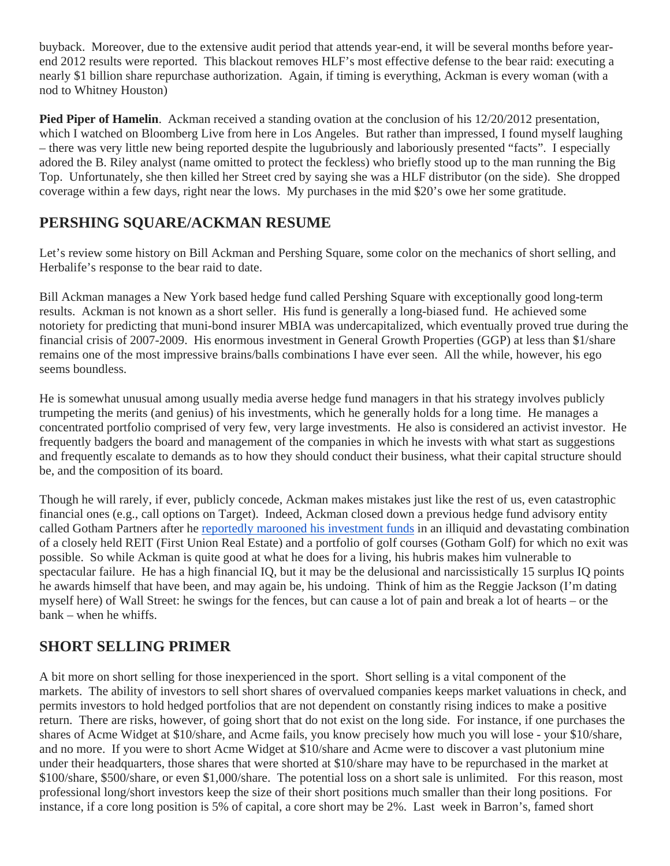buyback. Moreover, due to the extensive audit period that attends year-end, it will be several months before yearend 2012 results were reported. This blackout removes HLF's most effective defense to the bear raid: executing a nearly \$1 billion share repurchase authorization. Again, if timing is everything, Ackman is every woman (with a nod to Whitney Houston)

**Pied Piper of Hamelin.** Ackman received a standing ovation at the conclusion of his 12/20/2012 presentation, which I watched on Bloomberg Live from here in Los Angeles. But rather than impressed, I found myself laughing – there was very little new being reported despite the lugubriously and laboriously presented "facts". I especially adored the B. Riley analyst (name omitted to protect the feckless) who briefly stood up to the man running the Big Top. Unfortunately, she then killed her Street cred by saying she was a HLF distributor (on the side). She dropped coverage within a few days, right near the lows. My purchases in the mid \$20's owe her some gratitude.

#### **PERSHING SQUARE/ACKMAN RESUME**

Let's review some history on Bill Ackman and Pershing Square, some color on the mechanics of short selling, and Herbalife's response to the bear raid to date.

Bill Ackman manages a New York based hedge fund called Pershing Square with exceptionally good long-term results. Ackman is not known as a short seller. His fund is generally a long-biased fund. He achieved some notoriety for predicting that muni-bond insurer MBIA was undercapitalized, which eventually proved true during the financial crisis of 2007-2009. His enormous investment in General Growth Properties (GGP) at less than \$1/share remains one of the most impressive brains/balls combinations I have ever seen. All the while, however, his ego seems boundless.

He is somewhat unusual among usually media averse hedge fund managers in that his strategy involves publicly trumpeting the merits (and genius) of his investments, which he generally holds for a long time. He manages a concentrated portfolio comprised of very few, very large investments. He also is considered an activist investor. He frequently badgers the board and management of the companies in which he invests with what start as suggestions and frequently escalate to demands as to how they should conduct their business, what their capital structure should be, and the composition of its board.

Though he will rarely, if ever, publicly concede, Ackman makes mistakes just like the rest of us, even catastrophic financial ones (e.g., call options on Target). Indeed, Ackman closed down a previous hedge fund advisory entity called Gotham Partners after he reportedly marooned his investment funds in an illiquid and devastating combination of a closely held REIT (First Union Real Estate) and a portfolio of golf courses (Gotham Golf) for which no exit was possible. So while Ackman is quite good at what he does for a living, his hubris makes him vulnerable to spectacular failure. He has a high financial IQ, but it may be the delusional and narcissistically 15 surplus IQ points he awards himself that have been, and may again be, his undoing. Think of him as the Reggie Jackson (I'm dating myself here) of Wall Street: he swings for the fences, but can cause a lot of pain and break a lot of hearts – or the bank – when he whiffs.

#### **SHORT SELLING PRIMER**

A bit more on short selling for those inexperienced in the sport. Short selling is a vital component of the markets. The ability of investors to sell short shares of overvalued companies keeps market valuations in check, and permits investors to hold hedged portfolios that are not dependent on constantly rising indices to make a positive return. There are risks, however, of going short that do not exist on the long side. For instance, if one purchases the shares of Acme Widget at \$10/share, and Acme fails, you know precisely how much you will lose - your \$10/share, and no more. If you were to short Acme Widget at \$10/share and Acme were to discover a vast plutonium mine under their headquarters, those shares that were shorted at \$10/share may have to be repurchased in the market at \$100/share, \$500/share, or even \$1,000/share. The potential loss on a short sale is unlimited. For this reason, most professional long/short investors keep the size of their short positions much smaller than their long positions. For instance, if a core long position is 5% of capital, a core short may be 2%. Last week in Barron's, famed short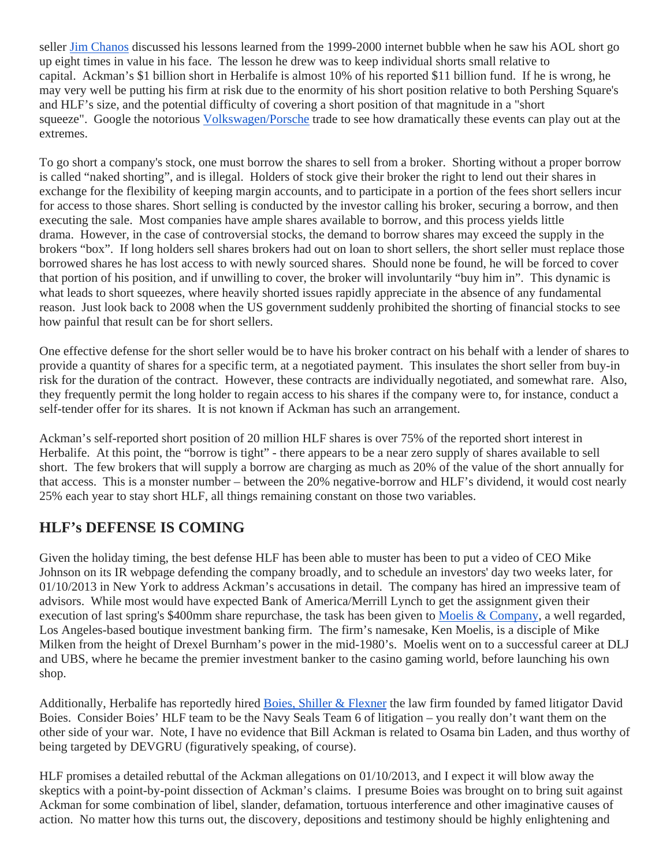seller Jim Chanos discussed his lessons learned from the 1999-2000 internet bubble when he saw his AOL short go up eight times in value in his face. The lesson he drew was to keep individual shorts small relative to capital. Ackman's \$1 billion short in Herbalife is almost 10% of his reported \$11 billion fund. If he is wrong, he may very well be putting his firm at risk due to the enormity of his short position relative to both Pershing Square's and HLF's size, and the potential difficulty of covering a short position of that magnitude in a "short squeeze". Google the notorious Volkswagen/Porsche trade to see how dramatically these events can play out at the extremes.

To go short a company's stock, one must borrow the shares to sell from a broker. Shorting without a proper borrow is called "naked shorting", and is illegal. Holders of stock give their broker the right to lend out their shares in exchange for the flexibility of keeping margin accounts, and to participate in a portion of the fees short sellers incur for access to those shares. Short selling is conducted by the investor calling his broker, securing a borrow, and then executing the sale. Most companies have ample shares available to borrow, and this process yields little drama. However, in the case of controversial stocks, the demand to borrow shares may exceed the supply in the brokers "box". If long holders sell shares brokers had out on loan to short sellers, the short seller must replace those borrowed shares he has lost access to with newly sourced shares. Should none be found, he will be forced to cover that portion of his position, and if unwilling to cover, the broker will involuntarily "buy him in". This dynamic is what leads to short squeezes, where heavily shorted issues rapidly appreciate in the absence of any fundamental reason. Just look back to 2008 when the US government suddenly prohibited the shorting of financial stocks to see how painful that result can be for short sellers.

One effective defense for the short seller would be to have his broker contract on his behalf with a lender of shares to provide a quantity of shares for a specific term, at a negotiated payment. This insulates the short seller from buy-in risk for the duration of the contract. However, these contracts are individually negotiated, and somewhat rare. Also, they frequently permit the long holder to regain access to his shares if the company were to, for instance, conduct a self-tender offer for its shares. It is not known if Ackman has such an arrangement.

Ackman's self-reported short position of 20 million HLF shares is over 75% of the reported short interest in Herbalife. At this point, the "borrow is tight" - there appears to be a near zero supply of shares available to sell short. The few brokers that will supply a borrow are charging as much as 20% of the value of the short annually for that access. This is a monster number – between the 20% negative-borrow and HLF's dividend, it would cost nearly 25% each year to stay short HLF, all things remaining constant on those two variables.

#### **HLF's DEFENSE IS COMING**

Given the holiday timing, the best defense HLF has been able to muster has been to put a video of CEO Mike Johnson on its IR webpage defending the company broadly, and to schedule an investors' day two weeks later, for 01/10/2013 in New York to address Ackman's accusations in detail. The company has hired an impressive team of advisors. While most would have expected Bank of America/Merrill Lynch to get the assignment given their execution of last spring's \$400mm share repurchase, the task has been given to Moelis & Company, a well regarded, Los Angeles-based boutique investment banking firm. The firm's namesake, Ken Moelis, is a disciple of Mike Milken from the height of Drexel Burnham's power in the mid-1980's. Moelis went on to a successful career at DLJ and UBS, where he became the premier investment banker to the casino gaming world, before launching his own shop.

Additionally, Herbalife has reportedly hired Boies, Shiller & Flexner the law firm founded by famed litigator David Boies. Consider Boies' HLF team to be the Navy Seals Team 6 of litigation – you really don't want them on the other side of your war. Note, I have no evidence that Bill Ackman is related to Osama bin Laden, and thus worthy of being targeted by DEVGRU (figuratively speaking, of course).

HLF promises a detailed rebuttal of the Ackman allegations on 01/10/2013, and I expect it will blow away the skeptics with a point-by-point dissection of Ackman's claims. I presume Boies was brought on to bring suit against Ackman for some combination of libel, slander, defamation, tortuous interference and other imaginative causes of action. No matter how this turns out, the discovery, depositions and testimony should be highly enlightening and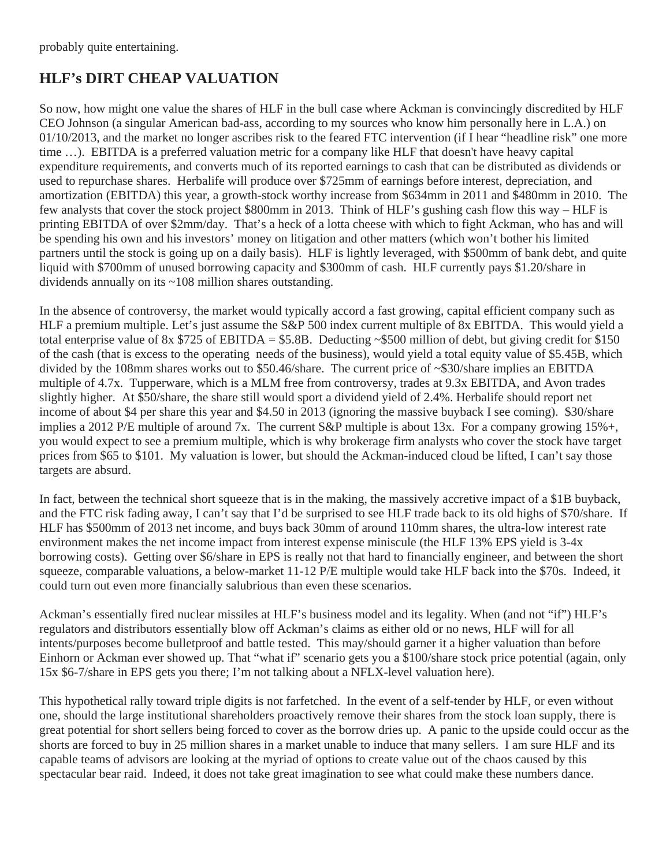## **HLF's DIRT CHEAP VALUATION**

So now, how might one value the shares of HLF in the bull case where Ackman is convincingly discredited by HLF CEO Johnson (a singular American bad-ass, according to my sources who know him personally here in L.A.) on 01/10/2013, and the market no longer ascribes risk to the feared FTC intervention (if I hear "headline risk" one more time …). EBITDA is a preferred valuation metric for a company like HLF that doesn't have heavy capital expenditure requirements, and converts much of its reported earnings to cash that can be distributed as dividends or used to repurchase shares. Herbalife will produce over \$725mm of earnings before interest, depreciation, and amortization (EBITDA) this year, a growth-stock worthy increase from \$634mm in 2011 and \$480mm in 2010. The few analysts that cover the stock project \$800mm in 2013. Think of HLF's gushing cash flow this way – HLF is printing EBITDA of over \$2mm/day. That's a heck of a lotta cheese with which to fight Ackman, who has and will be spending his own and his investors' money on litigation and other matters (which won't bother his limited partners until the stock is going up on a daily basis). HLF is lightly leveraged, with \$500mm of bank debt, and quite liquid with \$700mm of unused borrowing capacity and \$300mm of cash. HLF currently pays \$1.20/share in dividends annually on its ~108 million shares outstanding.

In the absence of controversy, the market would typically accord a fast growing, capital efficient company such as HLF a premium multiple. Let's just assume the S&P 500 index current multiple of 8x EBITDA. This would yield a total enterprise value of 8x \$725 of EBITDA = \$5.8B. Deducting  $\sim$ \$500 million of debt, but giving credit for \$150 of the cash (that is excess to the operating needs of the business), would yield a total equity value of \$5.45B, which divided by the 108mm shares works out to \$50.46/share. The current price of ~\$30/share implies an EBITDA multiple of 4.7x. Tupperware, which is a MLM free from controversy, trades at 9.3x EBITDA, and Avon trades slightly higher. At \$50/share, the share still would sport a dividend yield of 2.4%. Herbalife should report net income of about \$4 per share this year and \$4.50 in 2013 (ignoring the massive buyback I see coming). \$30/share implies a 2012 P/E multiple of around 7x. The current S&P multiple is about 13x. For a company growing 15%+, you would expect to see a premium multiple, which is why brokerage firm analysts who cover the stock have target prices from \$65 to \$101. My valuation is lower, but should the Ackman-induced cloud be lifted, I can't say those targets are absurd.

In fact, between the technical short squeeze that is in the making, the massively accretive impact of a \$1B buyback, and the FTC risk fading away, I can't say that I'd be surprised to see HLF trade back to its old highs of \$70/share. If HLF has \$500mm of 2013 net income, and buys back 30mm of around 110mm shares, the ultra-low interest rate environment makes the net income impact from interest expense miniscule (the HLF 13% EPS yield is 3-4x borrowing costs). Getting over \$6/share in EPS is really not that hard to financially engineer, and between the short squeeze, comparable valuations, a below-market 11-12 P/E multiple would take HLF back into the \$70s. Indeed, it could turn out even more financially salubrious than even these scenarios.

Ackman's essentially fired nuclear missiles at HLF's business model and its legality. When (and not "if") HLF's regulators and distributors essentially blow off Ackman's claims as either old or no news, HLF will for all intents/purposes become bulletproof and battle tested. This may/should garner it a higher valuation than before Einhorn or Ackman ever showed up. That "what if" scenario gets you a \$100/share stock price potential (again, only 15x \$6-7/share in EPS gets you there; I'm not talking about a NFLX-level valuation here).

This hypothetical rally toward triple digits is not farfetched. In the event of a self-tender by HLF, or even without one, should the large institutional shareholders proactively remove their shares from the stock loan supply, there is great potential for short sellers being forced to cover as the borrow dries up. A panic to the upside could occur as the shorts are forced to buy in 25 million shares in a market unable to induce that many sellers. I am sure HLF and its capable teams of advisors are looking at the myriad of options to create value out of the chaos caused by this spectacular bear raid. Indeed, it does not take great imagination to see what could make these numbers dance.